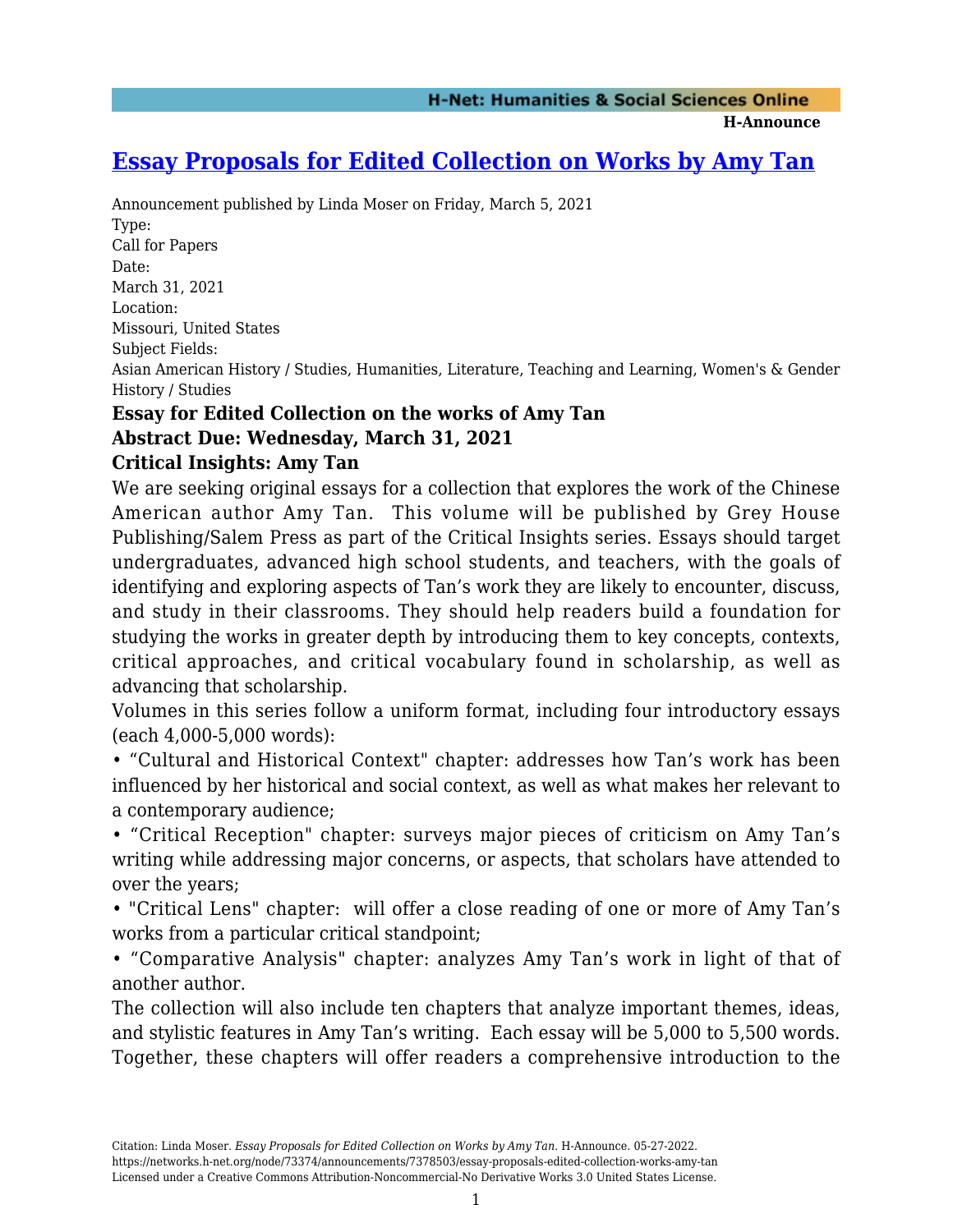**H-Announce** 

## **[Essay Proposals for Edited Collection on Works by Amy Tan](https://networks.h-net.org/node/73374/announcements/7378503/essay-proposals-edited-collection-works-amy-tan)**

Announcement published by Linda Moser on Friday, March 5, 2021 Type: Call for Papers Date: March 31, 2021 Location: Missouri, United States Subject Fields: Asian American History / Studies, Humanities, Literature, Teaching and Learning, Women's & Gender History / Studies

## **Essay for Edited Collection on the works of Amy Tan Abstract Due: Wednesday, March 31, 2021**

## **Critical Insights: Amy Tan**

We are seeking original essays for a collection that explores the work of the Chinese American author Amy Tan. This volume will be published by Grey House Publishing/Salem Press as part of the Critical Insights series. Essays should target undergraduates, advanced high school students, and teachers, with the goals of identifying and exploring aspects of Tan's work they are likely to encounter, discuss, and study in their classrooms. They should help readers build a foundation for studying the works in greater depth by introducing them to key concepts, contexts, critical approaches, and critical vocabulary found in scholarship, as well as advancing that scholarship.

Volumes in this series follow a uniform format, including four introductory essays (each 4,000-5,000 words):

• "Cultural and Historical Context" chapter: addresses how Tan's work has been influenced by her historical and social context, as well as what makes her relevant to a contemporary audience;

• "Critical Reception" chapter: surveys major pieces of criticism on Amy Tan's writing while addressing major concerns, or aspects, that scholars have attended to over the years;

• "Critical Lens" chapter: will offer a close reading of one or more of Amy Tan's works from a particular critical standpoint;

• "Comparative Analysis" chapter: analyzes Amy Tan's work in light of that of another author.

The collection will also include ten chapters that analyze important themes, ideas, and stylistic features in Amy Tan's writing. Each essay will be 5,000 to 5,500 words. Together, these chapters will offer readers a comprehensive introduction to the